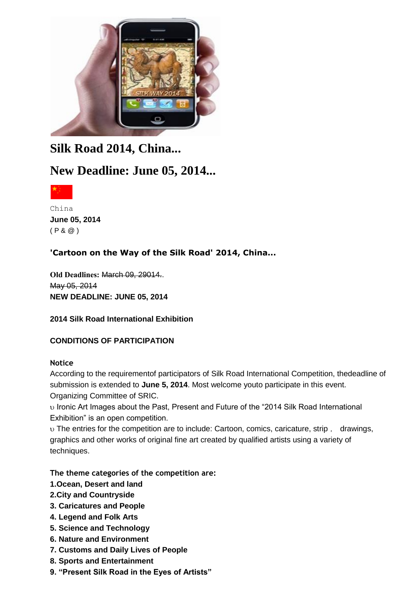

# **Silk Road 2014, China...**

# **New Deadline: June 05, 2014...**



China **June 05, 2014** ( P & @ )

## **'Cartoon on the Way of the Silk Road' 2014, China...**

**Old Deadlines:** March 09, 29014.. May 05, 2014 **NEW DEADLINE: JUNE 05, 2014**

#### **2014 Silk Road International Exhibition**

## **CONDITIONS OF PARTICIPATION**

#### **Notice**

According to the requirementof participators of Silk Road International Competition, thedeadline of submission is extended to **June 5, 2014**. Most welcome youto participate in this event. Organizing Committee of SRIC.

 $\upsilon$  Ironic Art Images about the Past, Present and Future of the "2014 Silk Road International Exhibition" is an open competition.

 The entries for the competition are to include: Cartoon, comics, caricature, strip , drawings, graphics and other works of original fine art created by qualified artists using a variety of techniques.

**The theme categories of the competition are:**

- **1.Ocean, Desert and land**
- **2.City and Countryside**
- **3. Caricatures and People**
- **4. Legend and Folk Arts**
- **5. Science and Technology**
- **6. Nature and Environment**
- **7. Customs and Daily Lives of People**
- **8. Sports and Entertainment**
- **9. "Present Silk Road in the Eyes of Artists"**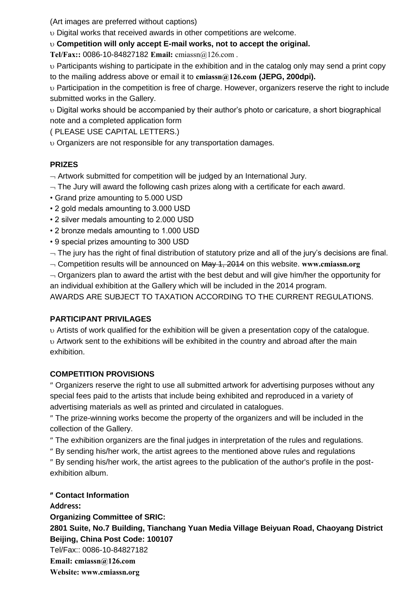(Art images are preferred without captions)

Digital works that received awards in other competitions are welcome.

**Competition will only accept E-mail works, not to accept the original.**

**Tel/Fax::** 0086-10-84827182 **Email:** [cmiassn@126.com .](mailto:cmiassn@126.com)

 Participants wishing to participate in the exhibition and in the catalog only may send a print copy to the mailing address above or email it to **[cmiassn@126.com](mailto:cmiassn@126.com) (JEPG, 200dpi).**

 Participation in the competition is free of charge. However, organizers reserve the right to include submitted works in the Gallery.

 Digital works should be accompanied by their author's photo or caricature, a short biographical note and a completed application form

( PLEASE USE CAPITAL LETTERS.)

Organizers are not responsible for any transportation damages.

#### **PRIZES**

 $-$  Artwork submitted for competition will be judged by an International Jury.

- $-$  The Jury will award the following cash prizes along with a certificate for each award.
- Grand prize amounting to 5.000 USD
- 2 gold medals amounting to 3.000 USD
- 2 silver medals amounting to 2.000 USD
- 2 bronze medals amounting to 1.000 USD
- 9 special prizes amounting to 300 USD

 $\neg$  The jury has the right of final distribution of statutory prize and all of the jury's decisions are final.

Competition results will be announced on May 1, 2014 on this website. **[www.cmiassn.org](http://www.cmiassn.org/)**

 $\sim$  Organizers plan to award the artist with the best debut and will give him/her the opportunity for an individual exhibition at the Gallery which will be included in the 2014 program.

AWARDS ARE SUBJECT TO TAXATION ACCORDING TO THE CURRENT REGULATIONS.

#### **PARTICIPANT PRIVILAGES**

 Artists of work qualified for the exhibition will be given a presentation copy of the catalogue. Artwork sent to the exhibitions will be exhibited in the country and abroad after the main exhibition.

#### **COMPETITION PROVISIONS**

 Organizers reserve the right to use all submitted artwork for advertising purposes without any special fees paid to the artists that include being exhibited and reproduced in a variety of advertising materials as well as printed and circulated in catalogues.

 The prize-winning works become the property of the organizers and will be included in the collection of the Gallery.

The exhibition organizers are the final judges in interpretation of the rules and regulations.

By sending his/her work, the artist agrees to the mentioned above rules and regulations

 By sending his/her work, the artist agrees to the publication of the author's profile in the postexhibition album.

#### **Contact Information**

**Address: Organizing Committee of SRIC: 2801 Suite, No.7 Building, Tianchang Yuan Media Village Beiyuan Road, Chaoyang District Beijing, China Post Code: 100107** Tel/Fax:: 0086-10-84827182 **Email: [cmiassn@126.com](mailto:cmiassn@126.com) Website: [www.cmiassn.org](http://www.cmiassn.org/)**